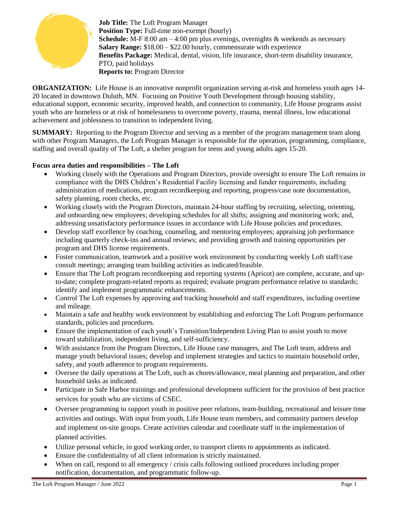

**Job Title:** The Loft Program Manager **Position Type:** Full-time non-exempt (hourly) **Schedule:** M-F 8:00 am – 4:00 pm plus evenings, overnights & weekends as necessary **Salary Range:** \$18.00 – \$22.00 hourly, commensurate with experience **Benefits Package:** Medical, dental, vision, life insurance, short-term disability insurance, PTO, paid holidays **Reports to:** Program Director

**ORGANIZATION:** Life House is an innovative nonprofit organization serving at-risk and homeless youth ages 14-20 located in downtown Duluth, MN. Focusing on Positive Youth Development through housing stability, educational support, economic security, improved health, and connection to community, Life House programs assist youth who are homeless or at risk of homelessness to overcome poverty, trauma, mental illness, low educational achievement and joblessness to transition to independent living.

**SUMMARY:** Reporting to the Program Director and serving as a member of the program management team along with other Program Managers, the Loft Program Manager is responsible for the operation, programming, compliance, staffing and overall quality of The Loft, a shelter program for teens and young adults ages 15-20.

# **Focus area duties and responsibilities – The Loft**

- Working closely with the Operations and Program Directors, provide oversight to ensure The Loft remains in compliance with the DHS Children's Residential Facility licensing and funder requirements, including administration of medications, program recordkeeping and reporting, progress/case note documentation, safety planning, room checks, etc.
- Working closely with the Program Directors, maintain 24-hour staffing by recruiting, selecting, orienting, and onboarding new employees; developing schedules for all shifts; assigning and monitoring work; and, addressing unsatisfactory performance issues in accordance with Life House policies and procedures.
- Develop staff excellence by coaching, counseling, and mentoring employees; appraising job performance including quarterly check-ins and annual reviews; and providing growth and training opportunities per program and DHS license requirements.
- Foster communication, teamwork and a positive work environment by conducting weekly Loft staff/case consult meetings; arranging team building activities as indicated/feasible.
- Ensure that The Loft program recordkeeping and reporting systems (Apricot) are complete, accurate, and upto-date; complete program-related reports as required; evaluate program performance relative to standards; identify and implement programmatic enhancements.
- Control The Loft expenses by approving and tracking household and staff expenditures, including overtime and mileage.
- Maintain a safe and healthy work environment by establishing and enforcing The Loft Program performance standards, policies and procedures.
- Ensure the implementation of each youth's Transition/Independent Living Plan to assist youth to move toward stabilization, independent living, and self-sufficiency.
- With assistance from the Program Directors, Life House case managers, and The Loft team, address and manage youth behavioral issues; develop and implement strategies and tactics to maintain household order, safety, and youth adherence to program requirements.
- Oversee the daily operations at The Loft, such as chores/allowance, meal planning and preparation, and other household tasks as indicated.
- Participate in Safe Harbor trainings and professional development sufficient for the provision of best practice services for youth who are victims of CSEC.
- Oversee programming to support youth in positive peer relations, team-building, recreational and leisure time activities and outings. With input from youth, Life House team members, and community partners develop and implement on-site groups. Create activities calendar and coordinate staff in the implementation of planned activities.
- Utilize personal vehicle, in good working order, to transport clients to appointments as indicated.
- Ensure the confidentiality of all client information is strictly maintained.
- When on call, respond to all emergency / crisis calls following outlined procedures including proper notification, documentation, and programmatic follow-up.